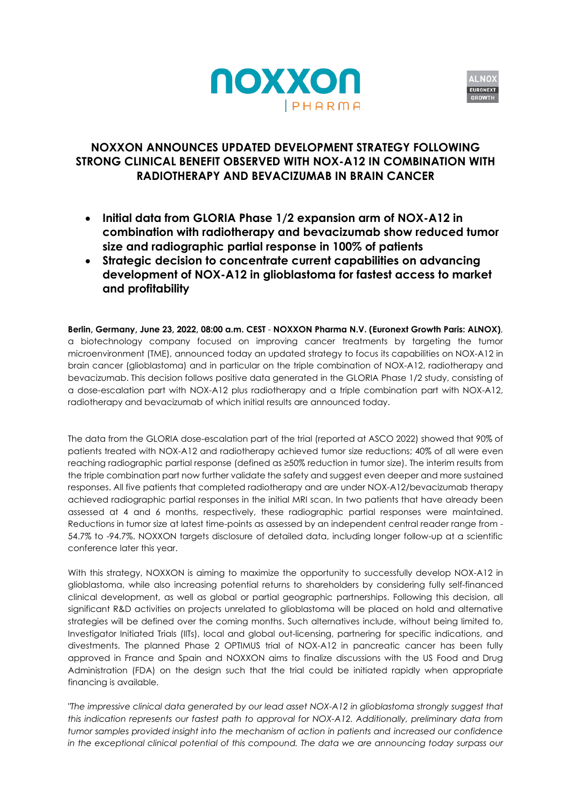



# **NOXXON ANNOUNCES UPDATED DEVELOPMENT STRATEGY FOLLOWING STRONG CLINICAL BENEFIT OBSERVED WITH NOX-A12 IN COMBINATION WITH RADIOTHERAPY AND BEVACIZUMAB IN BRAIN CANCER**

- **Initial data from GLORIA Phase 1/2 expansion arm of NOX-A12 in combination with radiotherapy and bevacizumab show reduced tumor size and radiographic partial response in 100% of patients**
- **Strategic decision to concentrate current capabilities on advancing development of NOX-A12 in glioblastoma for fastest access to market and profitability**

**Berlin, Germany, June 23, 2022, 08:00 a.m. CEST** - **NOXXON Pharma N.V. (Euronext Growth Paris: ALNOX)**, a biotechnology company focused on improving cancer treatments by targeting the tumor microenvironment (TME), announced today an updated strategy to focus its capabilities on NOX-A12 in brain cancer (glioblastoma) and in particular on the triple combination of NOX-A12, radiotherapy and bevacizumab. This decision follows positive data generated in the GLORIA Phase 1/2 study, consisting of a dose-escalation part with NOX-A12 plus radiotherapy and a triple combination part with NOX-A12, radiotherapy and bevacizumab of which initial results are announced today.

The data from the GLORIA dose-escalation part of the trial (reported at ASCO 2022) showed that 90% of patients treated with NOX-A12 and radiotherapy achieved tumor size reductions; 40% of all were even reaching radiographic partial response (defined as ≥50% reduction in tumor size). The interim results from the triple combination part now further validate the safety and suggest even deeper and more sustained responses. All five patients that completed radiotherapy and are under NOX-A12/bevacizumab therapy achieved radiographic partial responses in the initial MRI scan. In two patients that have already been assessed at 4 and 6 months, respectively, these radiographic partial responses were maintained. Reductions in tumor size at latest time-points as assessed by an independent central reader range from - 54.7% to -94.7%. NOXXON targets disclosure of detailed data, including longer follow-up at a scientific conference later this year.

With this strategy, NOXXON is aiming to maximize the opportunity to successfully develop NOX-A12 in glioblastoma, while also increasing potential returns to shareholders by considering fully self-financed clinical development, as well as global or partial geographic partnerships. Following this decision, all significant R&D activities on projects unrelated to glioblastoma will be placed on hold and alternative strategies will be defined over the coming months. Such alternatives include, without being limited to, Investigator Initiated Trials (IITs), local and global out-licensing, partnering for specific indications, and divestments. The planned Phase 2 OPTIMUS trial of NOX-A12 in pancreatic cancer has been fully approved in France and Spain and NOXXON aims to finalize discussions with the US Food and Drug Administration (FDA) on the design such that the trial could be initiated rapidly when appropriate financing is available.

*"The impressive clinical data generated by our lead asset NOX-A12 in glioblastoma strongly suggest that this indication represents our fastest path to approval for NOX-A12. Additionally, preliminary data from tumor samples provided insight into the mechanism of action in patients and increased our confidence in the exceptional clinical potential of this compound. The data we are announcing today surpass our*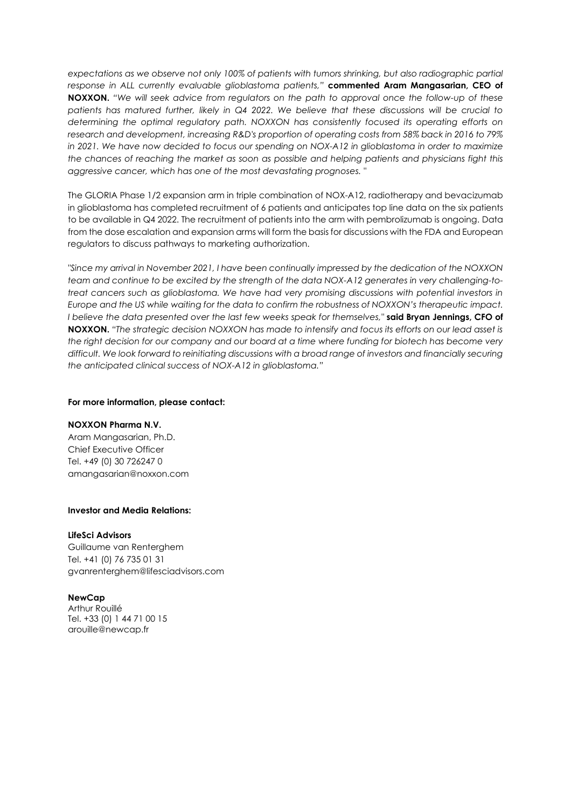*expectations as we observe not only 100% of patients with tumors shrinking, but also radiographic partial response in ALL currently evaluable glioblastoma patients,"* **commented Aram Mangasarian, CEO of NOXXON.** *"We will seek advice from regulators on the path to approval once the follow-up of these patients has matured further, likely in Q4 2022. We believe that these discussions will be crucial to determining the optimal regulatory path. NOXXON has consistently focused its operating efforts on research and development, increasing R&D's proportion of operating costs from 58% back in 2016 to 79% in 2021. We have now decided to focus our spending on NOX-A12 in glioblastoma in order to maximize the chances of reaching the market as soon as possible and helping patients and physicians fight this aggressive cancer, which has one of the most devastating prognoses. "*

The GLORIA Phase 1/2 expansion arm in triple combination of NOX-A12, radiotherapy and bevacizumab in glioblastoma has completed recruitment of 6 patients and anticipates top line data on the six patients to be available in Q4 2022. The recruitment of patients into the arm with pembrolizumab is ongoing. Data from the dose escalation and expansion arms will form the basis for discussions with the FDA and European regulators to discuss pathways to marketing authorization.

*"Since my arrival in November 2021, I have been continually impressed by the dedication of the NOXXON team and continue to be excited by the strength of the data NOX-A12 generates in very challenging-totreat cancers such as glioblastoma. We have had very promising discussions with potential investors in Europe and the US while waiting for the data to confirm the robustness of NOXXON's therapeutic impact. I believe the data presented over the last few weeks speak for themselves,"* **said Bryan Jennings, CFO of NOXXON.** *"The strategic decision NOXXON has made to intensify and focus its efforts on our lead asset is the right decision for our company and our board at a time where funding for biotech has become very difficult. We look forward to reinitiating discussions with a broad range of investors and financially securing the anticipated clinical success of NOX-A12 in glioblastoma."*

#### **For more information, please contact:**

#### **NOXXON Pharma N.V.**

Aram Mangasarian, Ph.D. Chief Executive Officer Tel. +49 (0) 30 726247 0 amangasarian@noxxon.com

## **Investor and Media Relations:**

#### **LifeSci Advisors**

Guillaume van Renterghem Tel. +41 (0) 76 735 01 31 gvanrenterghem@lifesciadvisors.com

## **NewCap**

Arthur Rouillé Tel. +33 (0) 1 44 71 00 15 arouille@newcap.fr